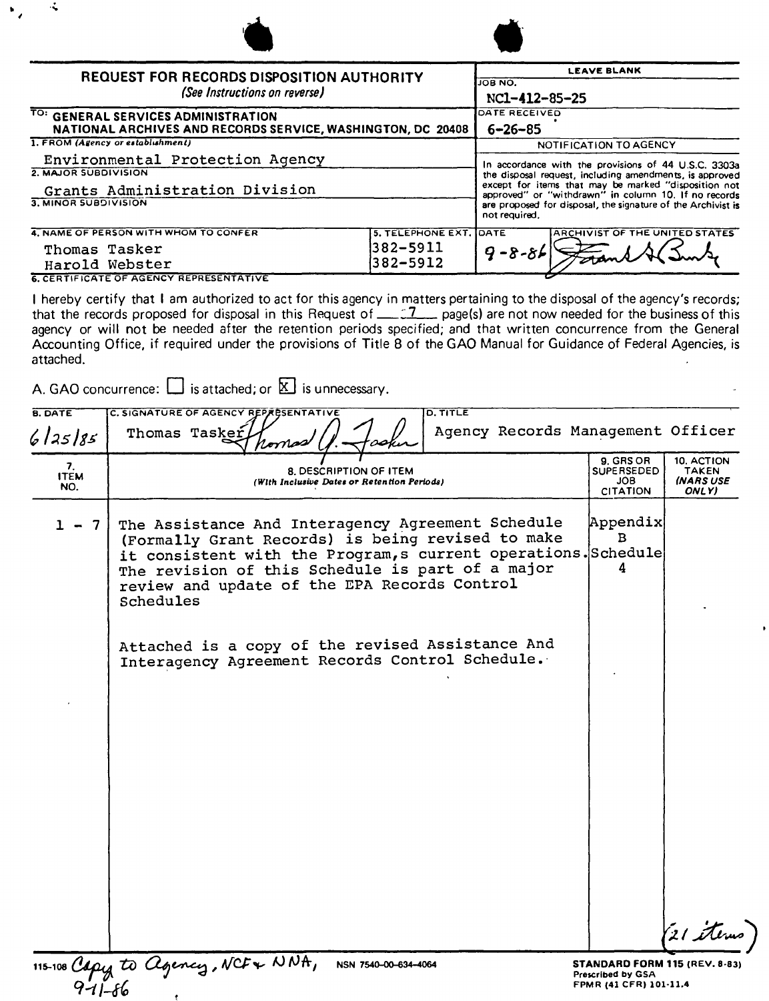| ÷                                                                                                  |                                                                               |                                                                                                                                                                                                                                 |  |  |
|----------------------------------------------------------------------------------------------------|-------------------------------------------------------------------------------|---------------------------------------------------------------------------------------------------------------------------------------------------------------------------------------------------------------------------------|--|--|
| <b>REQUEST FOR RECORDS DISPOSITION AUTHORITY</b><br>(See Instructions on reverse)                  | <b>LEAVE BLANK</b><br>JOB NO.<br>NC1-412-85-25                                |                                                                                                                                                                                                                                 |  |  |
| TO: GENERAL SERVICES ADMINISTRATION<br>NATIONAL ARCHIVES AND RECORDS SERVICE, WASHINGTON, DC 20408 | DATE RECEIVED<br>6–26–85                                                      |                                                                                                                                                                                                                                 |  |  |
| 1. FROM (Agency or establishment)                                                                  | NOTIFICATION TO AGENCY                                                        |                                                                                                                                                                                                                                 |  |  |
| Environmental Protection Agency                                                                    |                                                                               | In accordance with the provisions of 44 U.S.C. 3303a<br>the disposal request, including amendments, is approved<br>except for items that may be marked "disposition not<br>approved" or "withdrawn" in column 10. If no records |  |  |
| 2. MAJOR SUBDIVISION<br>Grants Administration Division                                             |                                                                               |                                                                                                                                                                                                                                 |  |  |
| 3. MINOR SUBDIVISION                                                                               | are proposed for disposal, the signature of the Archivist is<br>not required. |                                                                                                                                                                                                                                 |  |  |
| 4. NAME OF PERSON WITH WHOM TO CONFER                                                              | 5. TELEPHONE EXT. DATE                                                        | <b>ARCHIVIST OF THE UNITED STATES</b>                                                                                                                                                                                           |  |  |
| 382-5911<br>Thomas Tasker<br>382-5912<br>Harold Webster                                            |                                                                               | $9 - 8 - 81$                                                                                                                                                                                                                    |  |  |
| <b>6. CERTIFICATE OF AGENCY REPRESENTATIVE</b>                                                     |                                                                               |                                                                                                                                                                                                                                 |  |  |

I hereby certify that I am authorized to act for this agency in matters pertaining to the disposal of the agency's records; that the records proposed for disposal in this Request of *\_:.L-* page(s) are not now needed for the businessof this agency or will not be needed after the retention periods specified; and that written concurrence from the General Accounting Office, if required under the provisions of Title 8 of the GAO Manual for Guidance of Federal Agencies, is attached.

A. GAO concurrence:  $\Box$  is attached; or  $\boxtimes$  is unnecessary.

 $\mathcal{R}$ 

. .... ,

| <b>B. DATE</b>                                 | C. SIGNATURE OF AGENCY REPARSENTATIVE<br><b>D. TITLE</b>                                                                                                                                                                                                                                                                                                                                         |                                                                                            |                                                  |
|------------------------------------------------|--------------------------------------------------------------------------------------------------------------------------------------------------------------------------------------------------------------------------------------------------------------------------------------------------------------------------------------------------------------------------------------------------|--------------------------------------------------------------------------------------------|--------------------------------------------------|
| 6/25/85                                        | Agency Records Management Officer<br>Thomas Tasker<br>romas                                                                                                                                                                                                                                                                                                                                      |                                                                                            |                                                  |
| 7.<br><b>ITEM</b><br>NO.                       | <b>8. DESCRIPTION OF ITEM</b><br>(With Inclusive Dates or Retention Periods)                                                                                                                                                                                                                                                                                                                     | 9. GRS OR<br><b>SUPERSEDED</b><br>JOB.<br><b>CITATION</b>                                  | 10. ACTION<br>TAKEN<br><b>(NARS USE</b><br>ONLY) |
| $\overline{7}$<br>$\qquad \qquad \blacksquare$ | The Assistance And Interagency Agreement Schedule<br>(Formally Grant Records) is being revised to make<br>it consistent with the Program, s current operations. Schedule<br>The revision of this Schedule is part of a major<br>review and update of the EPA Records Control<br>Schedules<br>Attached is a copy of the revised Assistance And<br>Interagency Agreement Records Control Schedule. | Appendix<br>$\mathbf{B}$<br>4                                                              |                                                  |
|                                                |                                                                                                                                                                                                                                                                                                                                                                                                  |                                                                                            | 21 items                                         |
|                                                | 115-108 Capy to Agency, NCF & NNA,<br>NSN 7540-00-634-4064                                                                                                                                                                                                                                                                                                                                       | <b>STANDARD FORM 115 (REV. 8-83)</b><br><b>Prescribed by GSA</b><br>FPMR (41 CFR) 101-11.4 |                                                  |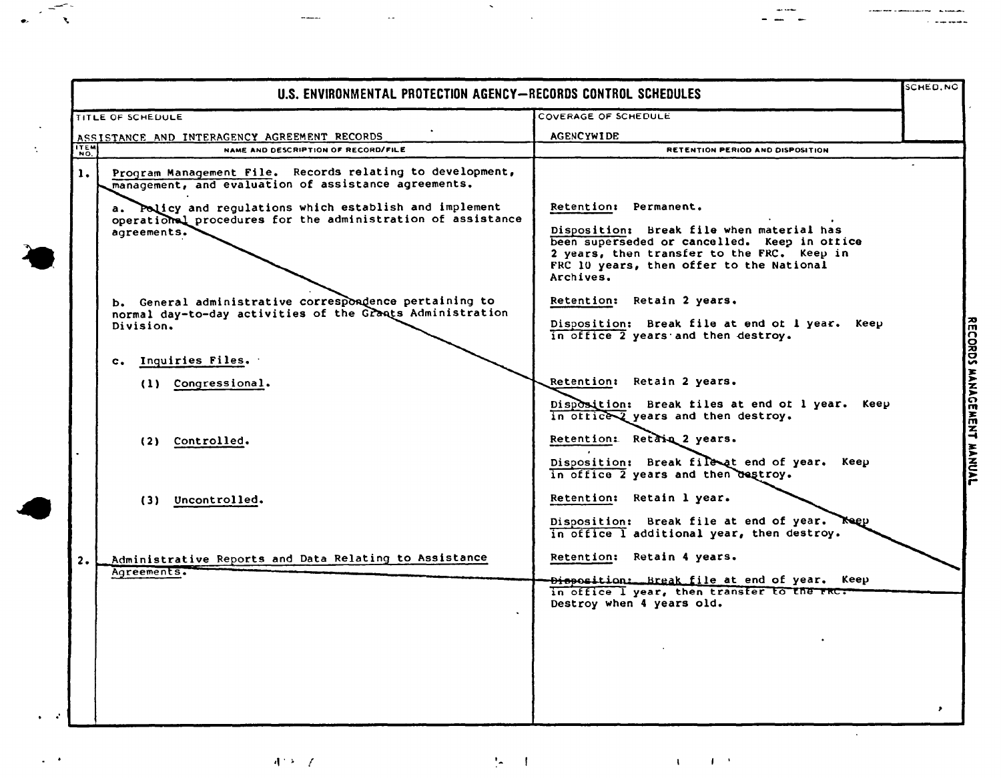|      | TITLE OF SCHEDULE                                                                                                                                                                                                                                          | <b>COVERAGE OF SCHEDULE</b>                                                                                                                                                                                               |  |
|------|------------------------------------------------------------------------------------------------------------------------------------------------------------------------------------------------------------------------------------------------------------|---------------------------------------------------------------------------------------------------------------------------------------------------------------------------------------------------------------------------|--|
|      | ASSISTANCE AND INTERAGENCY AGREEMENT RECORDS                                                                                                                                                                                                               | <b>AGENCYWIDE</b>                                                                                                                                                                                                         |  |
| ITEM | NAME AND DESCRIPTION OF RECORD/FILE                                                                                                                                                                                                                        | RETENTION PERIOD AND DISPOSITION                                                                                                                                                                                          |  |
| 1.   | Program Management File. Records relating to development,<br>management, and evaluation of assistance agreements.<br>a. Policy and regulations which establish and implement<br>operational procedures for the administration of assistance<br>agreements. | Retention: Permanent.<br>Disposition: Break file when material has<br>been superseded or cancelled. Keep in office<br>2 years, then transfer to the FRC. Keep in<br>FRC 10 years, then offer to the National<br>Archives. |  |
|      | b. General administrative correspondence pertaining to<br>normal day-to-day activities of the Grants Administration<br>Division.                                                                                                                           | Retention: Retain 2 years.<br>Disposition: Break file at end of I year. Keep<br>in office 2 years and then destroy.                                                                                                       |  |
|      | c. Inquiries Files.                                                                                                                                                                                                                                        |                                                                                                                                                                                                                           |  |
|      | (1) Congressional.                                                                                                                                                                                                                                         | Retention: Retain 2 years.<br>Disposition: Break files at end of 1 year. Keep<br>in office years and then destroy.                                                                                                        |  |
|      | (2) Controlled.                                                                                                                                                                                                                                            | Retention: Retain 2 years.<br>Disposition: Break file at end of year. Keep                                                                                                                                                |  |
|      | (3) Uncontrolled.                                                                                                                                                                                                                                          | in office 2 years and then destroy.<br>Retention: Retain 1 year.<br>Disposition: Break file at end of year.<br><b>Neep</b>                                                                                                |  |
| 2.   | Administrative Reports and Data Relating to Assistance<br>Agreements.                                                                                                                                                                                      | in office I additional year, then destroy.<br>Retention: Retain 4 years.<br>Disposition: Break file at end of year. Keep                                                                                                  |  |
|      |                                                                                                                                                                                                                                                            | in office I year, then transfer to the rRC.<br>Destroy when 4 years old.                                                                                                                                                  |  |
|      |                                                                                                                                                                                                                                                            |                                                                                                                                                                                                                           |  |
|      |                                                                                                                                                                                                                                                            |                                                                                                                                                                                                                           |  |

 $\label{eq:2.1} \frac{1}{\sqrt{2\pi}}\int_{\mathbb{R}^3}\frac{1}{\sqrt{2\pi}}\left(\frac{1}{\sqrt{2\pi}}\right)^2\frac{1}{\sqrt{2\pi}}\left(\frac{1}{\sqrt{2\pi}}\right)^2\frac{1}{\sqrt{2\pi}}\left(\frac{1}{\sqrt{2\pi}}\right)^2\frac{1}{\sqrt{2\pi}}\frac{1}{\sqrt{2\pi}}\frac{1}{\sqrt{2\pi}}\frac{1}{\sqrt{2\pi}}\frac{1}{\sqrt{2\pi}}\frac{1}{\sqrt{2\pi}}\frac{1}{\sqrt{2\pi}}\frac{1}{\sqrt{2\pi}}\frac$ 

 $\frac{1}{2} \frac{1}{2} \frac{1}{2} \frac{1}{2} \frac{1}{2} \frac{1}{2} \frac{1}{2} \frac{1}{2} \frac{1}{2} \frac{1}{2} \frac{1}{2} \frac{1}{2} \frac{1}{2} \frac{1}{2} \frac{1}{2} \frac{1}{2} \frac{1}{2} \frac{1}{2} \frac{1}{2} \frac{1}{2} \frac{1}{2} \frac{1}{2} \frac{1}{2} \frac{1}{2} \frac{1}{2} \frac{1}{2} \frac{1}{2} \frac{1}{2} \frac{1}{2} \frac{1}{2} \frac{1}{2} \frac{$ 

 $A^{1,2}\left( \mathbb{R}\right)$ 

NWMIL

 $\omega$  .

 $\frac{1}{\sqrt{2}}$ 

 $\mathcal{G} \subset \mathcal{F}$ 

 $\mathcal{A}^{\mathcal{A}}_{\mathcal{A}}=\mathcal{A}^{\mathcal{A}}_{\mathcal{A}}$ 

لمستدعا المادة

 $\sim$  and consider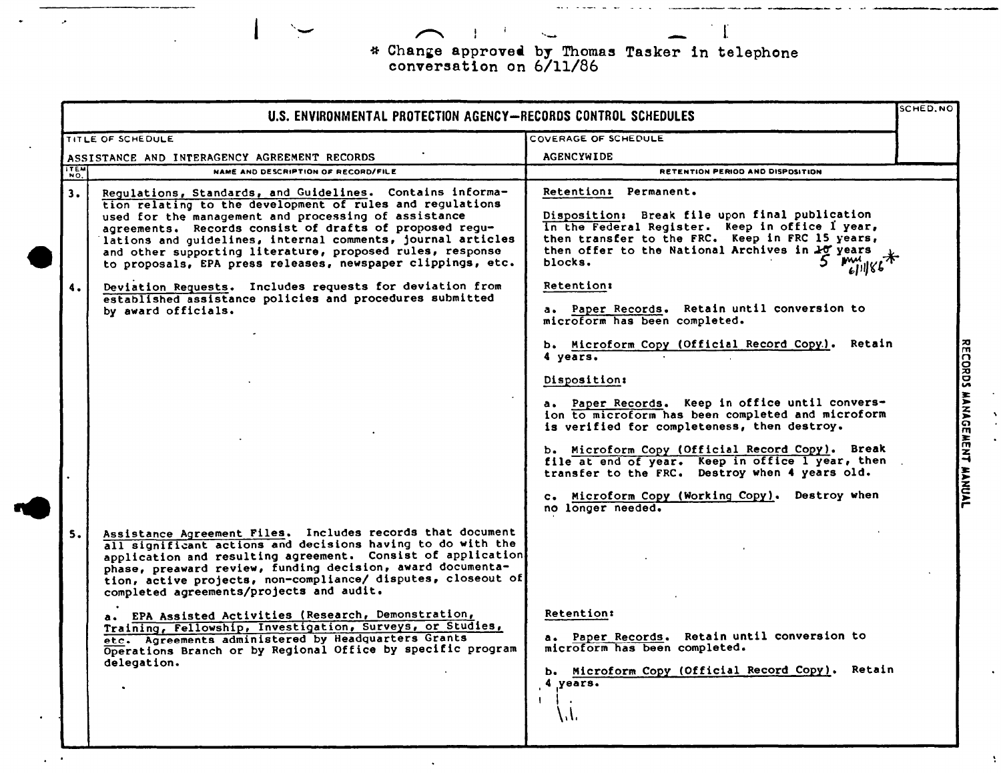\* Change approved by Thomas Tasker in telephone<br>conversation on 6/11/86

 $\mathbf{I}$ 

NWML

|                    | SCHED.NO<br>U.S. ENVIRONMENTAL PROTECTION AGENCY-RECORDS CONTROL SCHEDULES                                                                                                                                                                                                                                                                                                                                                                                                                                                                                                                                                   |                                                                                                                                                                                                                                                                                                                                                                                                                                                                                                                                                                            |  |  |  |
|--------------------|------------------------------------------------------------------------------------------------------------------------------------------------------------------------------------------------------------------------------------------------------------------------------------------------------------------------------------------------------------------------------------------------------------------------------------------------------------------------------------------------------------------------------------------------------------------------------------------------------------------------------|----------------------------------------------------------------------------------------------------------------------------------------------------------------------------------------------------------------------------------------------------------------------------------------------------------------------------------------------------------------------------------------------------------------------------------------------------------------------------------------------------------------------------------------------------------------------------|--|--|--|
|                    | TITLE OF SCHEDULE                                                                                                                                                                                                                                                                                                                                                                                                                                                                                                                                                                                                            | COVERAGE OF SCHEDULE                                                                                                                                                                                                                                                                                                                                                                                                                                                                                                                                                       |  |  |  |
|                    | ASSISTANCE AND INTERAGENCY AGREEMENT RECORDS                                                                                                                                                                                                                                                                                                                                                                                                                                                                                                                                                                                 | <b>AGENCYWIDE</b>                                                                                                                                                                                                                                                                                                                                                                                                                                                                                                                                                          |  |  |  |
| $\sqrt{155}$       | NAME AND DESCRIPTION OF RECORD/FILE                                                                                                                                                                                                                                                                                                                                                                                                                                                                                                                                                                                          | <b>RETENTION PERIOD AND DISPOSITION</b>                                                                                                                                                                                                                                                                                                                                                                                                                                                                                                                                    |  |  |  |
| 3.                 | Regulations, Standards, and Guidelines. Contains informa-<br>tion relating to the development of rules and regulations<br>used for the management and processing of assistance<br>agreements. Records consist of drafts of proposed regu-<br>lations and guidelines, internal comments, journal articles<br>and other supporting literature, proposed rules, response<br>to proposals, EPA press releases, newspaper clippings, etc.                                                                                                                                                                                         | Retention: Permanent.<br>Disposition: Break file upon final publication<br>In the Federal Register. Keep in office I year,<br>then transfer to the FRC. Keep in FRC 15 years,<br>then offer to the National Archives in 17 years<br>blocks.<br>mu<br>611186                                                                                                                                                                                                                                                                                                                |  |  |  |
| $\ddot{\bullet}$ . | Deviation Requests. Includes requests for deviation from<br>established assistance policies and procedures submitted<br>by award officials.                                                                                                                                                                                                                                                                                                                                                                                                                                                                                  | <b>Retention:</b><br>a. Paper Records. Retain until conversion to<br>microform has been completed.<br>b. Microform Copy (Official Record Copy.). Retain<br>4 years.<br>Disposition:<br>a. Paper Records. Keep in office until convers-<br>ion to microform has been completed and microform<br>is verified for completeness, then destroy.<br>b. Microform Copy (Official Record Copy). Break<br>file at end of year. Keep in office I year, then<br>transfer to the FRC. Destroy when 4 years old.<br>c. Microform Copy (Working Copy). Destroy when<br>no longer needed. |  |  |  |
| 5.                 | Assistance Agreement Files. Includes records that document<br>all significant actions and decisions having to do with the<br>application and resulting agreement. Consist of application<br>phase, preaward review, funding decision, award documenta-<br>tion, active projects, non-compliance/ disputes, closeout of<br>completed agreements/projects and audit.<br>a. EPA Assisted Activities (Research, Demonstration,<br>Training, Fellowship, Investigation, Surveys, or Studies,<br>etc. Agreements administered by Headquarters Grants<br>Operations Branch or by Regional Office by specific program<br>delegation. | <b>Retention:</b><br>a. Paper Records. Retain until conversion to<br>microform has been completed.<br>b. Microform Copy (Official Record Copy). Retain<br>4 years.<br>$\mathbf{L}$<br>W.                                                                                                                                                                                                                                                                                                                                                                                   |  |  |  |

RECORDS MANAGEMENT MANUAL

 $\Lambda$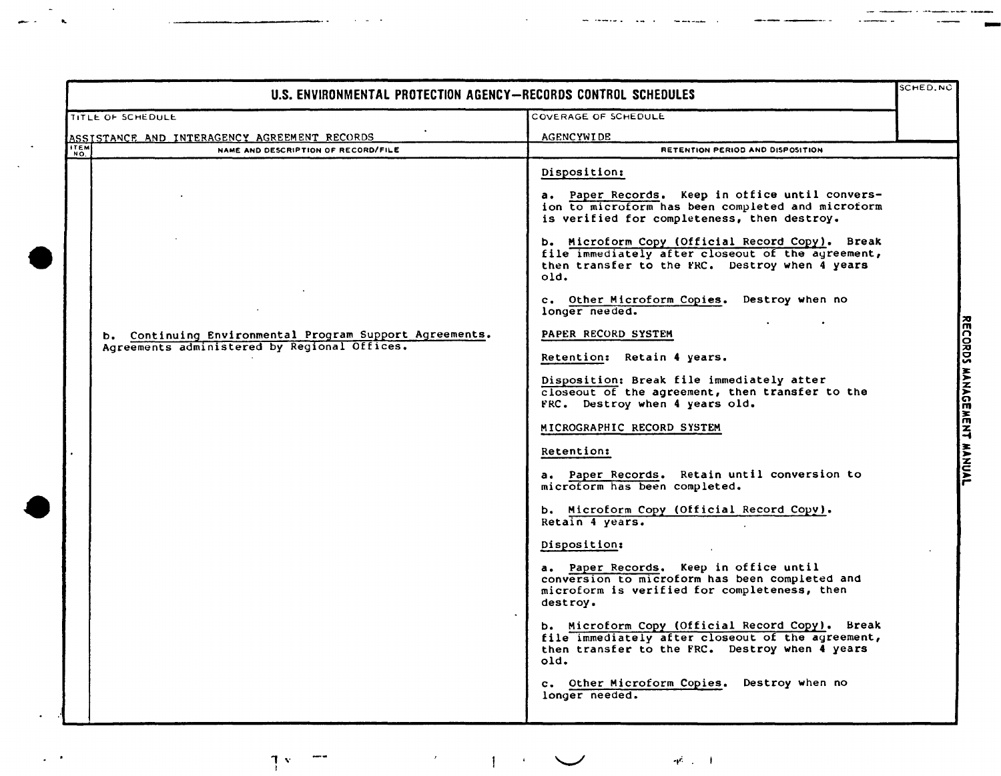| U.S. ENVIRONMENTAL PROTECTION AGENCY-RECORDS CONTROL SCHEDULES |                                                                                                         |                                                                                                                                                                                                                                                                                                                                                                                                                                                                                                                                                                                                                                                                                                                                                                                                                                                                                                                                                                                                                                                                                                                                                                                                     |  |                           |
|----------------------------------------------------------------|---------------------------------------------------------------------------------------------------------|-----------------------------------------------------------------------------------------------------------------------------------------------------------------------------------------------------------------------------------------------------------------------------------------------------------------------------------------------------------------------------------------------------------------------------------------------------------------------------------------------------------------------------------------------------------------------------------------------------------------------------------------------------------------------------------------------------------------------------------------------------------------------------------------------------------------------------------------------------------------------------------------------------------------------------------------------------------------------------------------------------------------------------------------------------------------------------------------------------------------------------------------------------------------------------------------------------|--|---------------------------|
|                                                                | TITLE OF SCHEDULE                                                                                       | COVERAGE OF SCHEDULE                                                                                                                                                                                                                                                                                                                                                                                                                                                                                                                                                                                                                                                                                                                                                                                                                                                                                                                                                                                                                                                                                                                                                                                |  |                           |
|                                                                | ASSISTANCE AND INTERAGENCY AGREEMENT RECORDS                                                            | <b>AGENCYWIDE</b>                                                                                                                                                                                                                                                                                                                                                                                                                                                                                                                                                                                                                                                                                                                                                                                                                                                                                                                                                                                                                                                                                                                                                                                   |  |                           |
| <b>ITEM</b>                                                    | NAME AND DESCRIPTION OF RECORD/FILE                                                                     | RETENTION PERIOD AND DISPOSITION                                                                                                                                                                                                                                                                                                                                                                                                                                                                                                                                                                                                                                                                                                                                                                                                                                                                                                                                                                                                                                                                                                                                                                    |  |                           |
|                                                                | b. Continuing Environmental Program Support Agreements.<br>Agreements administered by Regional Offices. | Disposition:<br>a. Paper Records. Keep in office until convers-<br>ion to microform has been completed and microform<br>is verified for completeness, then destroy.<br>b. Microform Copy (Official Record Copy). Break<br>file immediately after closeout of the agreement,<br>then transfer to the FRC. Destroy when 4 years<br>old.<br>c. Other Microform Copies. Destroy when no<br>longer needed.<br>PAPER RECORD SYSTEM<br>Retention: Retain 4 years.<br>Disposition: Break file immediately atter<br>closeout of the agreement, then transfer to the<br>FRC. Destroy when 4 years old.<br>MICROGRAPHIC RECORD SYSTEM<br>Retention:<br>a. Paper Records. Retain until conversion to<br>microform has been completed.<br>b. Microform Copy (Official Record Copy).<br>Retain 4 years.<br>Disposition:<br>a. Paper Records. Keep in office until<br>conversion to microform has been completed and<br>microform is verified for completeness, then<br>destroy.<br>b. Microform Copy (Official Record Copy). Break<br>file immediately after closeout of the agreement,<br>then transfer to the FRC. Destroy when 4 years<br>old.<br>c. Other Microform Copies. Destroy when no<br>longer needed. |  | RECORDS MANAGEMENT MANUAL |

NWWL

 $\frac{1}{\sqrt{2}}\sum_{i=1}^{n} \frac{1}{\sqrt{2}}\left(\frac{1}{\sqrt{2}}\right)^2\left(\frac{1}{\sqrt{2}}\right)^2.$ 

 $\frac{1}{2}$  ,  $\frac{1}{2}$ 

 $\mathbb{T}^{\infty} \subset \mathbb{T}^{\infty} \quad \text{and} \quad \mathbb{R}^{\infty} \subset \mathbb{T}^{\infty} \quad \text{and} \quad \mathbb{R}^{\infty} \subset \mathbb{R}^{\infty} \quad \text{and} \quad \mathbb{R}^{\infty} \subset \mathbb{T}^{\infty}$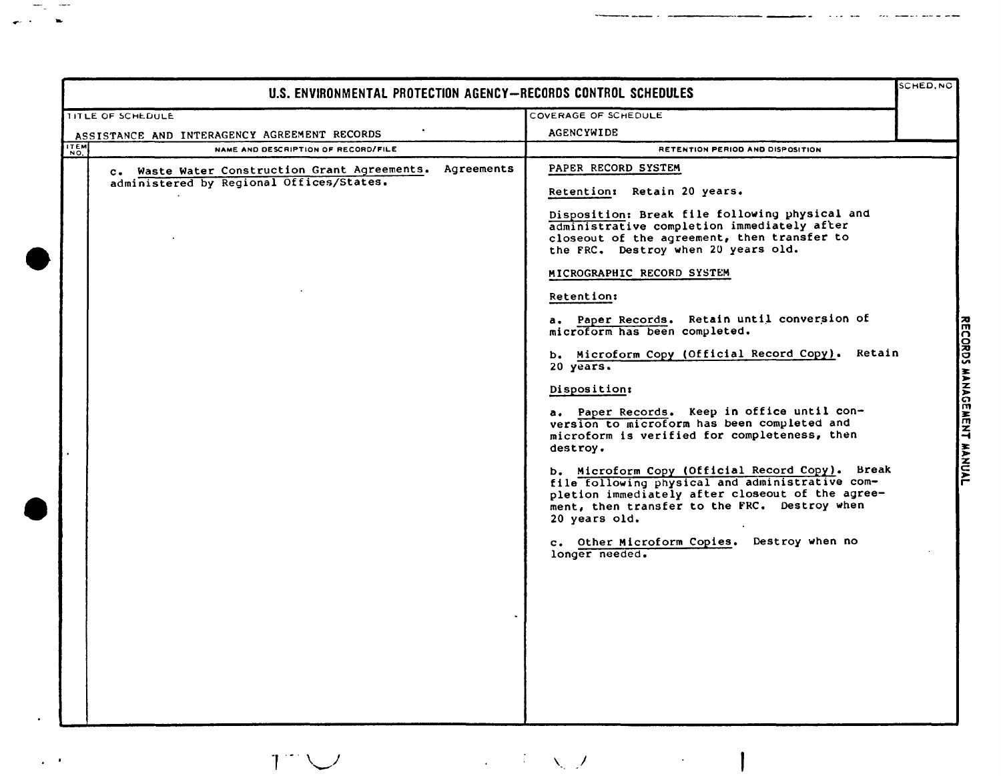|                                                                                                                                                      | U.S. ENVIRONMENTAL PROTECTION AGENCY-RECORDS CONTROL SCHEDULES                                                                                                                                                                                                                                                                                                                                                                                                                                                                                                                                                                                                                                                                                                                                                                                                                                                      | <b>SCHED, NC</b> |
|------------------------------------------------------------------------------------------------------------------------------------------------------|---------------------------------------------------------------------------------------------------------------------------------------------------------------------------------------------------------------------------------------------------------------------------------------------------------------------------------------------------------------------------------------------------------------------------------------------------------------------------------------------------------------------------------------------------------------------------------------------------------------------------------------------------------------------------------------------------------------------------------------------------------------------------------------------------------------------------------------------------------------------------------------------------------------------|------------------|
| TITLE OF SCHEDULE                                                                                                                                    | COVERAGE OF SCHEDULE                                                                                                                                                                                                                                                                                                                                                                                                                                                                                                                                                                                                                                                                                                                                                                                                                                                                                                |                  |
|                                                                                                                                                      | <b>AGENCYWIDE</b>                                                                                                                                                                                                                                                                                                                                                                                                                                                                                                                                                                                                                                                                                                                                                                                                                                                                                                   |                  |
| <b>ITEM</b><br>NAME AND DESCRIPTION OF RECORD/FILE                                                                                                   | RETENTION PERIOD AND DISPOSITION                                                                                                                                                                                                                                                                                                                                                                                                                                                                                                                                                                                                                                                                                                                                                                                                                                                                                    |                  |
| ASSISTANCE AND INTERAGENCY AGREEMENT RECORDS<br>c. Waste Water Construction Grant Agreements. Agreements<br>administered by Regional Offices/States. | PAPER RECORD SYSTEM<br>Retention: Retain 20 years.<br>Disposition: Break file following physical and<br>administrative completion immediately after<br>closeout of the agreement, then transfer to<br>the FRC. Destroy when 20 years old.<br>MICROGRAPHIC RECORD SYSTEM<br><b>Retention:</b><br>a. Paper Records. Retain until conversion of<br>microform has been completed.<br>b. Microform Copy (Official Record Copy). Retain<br>20 years.<br>Disposition:<br>a. Paper Records. Keep in office until con-<br>version to microform has been completed and<br>microform is verified for completeness, then<br>destroy.<br>b. Microform Copy (Official Record Copy). Break<br>file following physical and administrative com-<br>pletion immediately after closeout of the agree-<br>ment, then transfer to the FRC. Destroy when<br>20 years old.<br>c. Other Microform Copies. Destroy when no<br>longer needed. |                  |

NWML

 $\sim$   $^{-1}$ 

RECORDS MANAGEMENT MANUAL

 $\mathbf{I}$ 

 $T^{\infty}$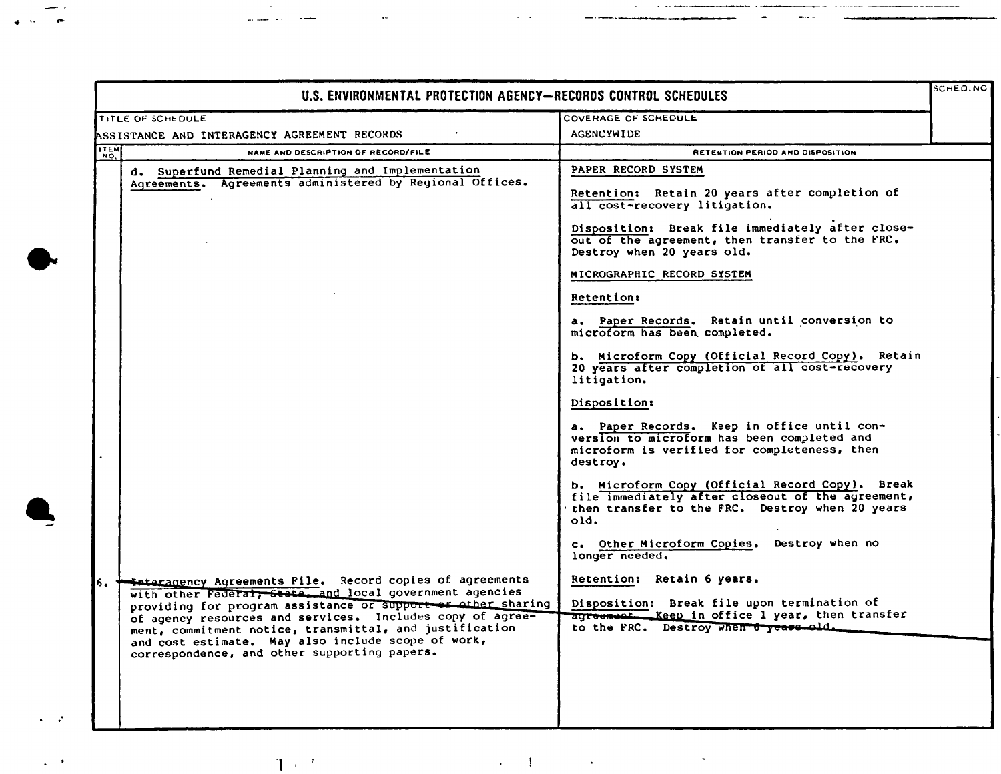|      | U.S. ENVIRONMENTAL PROTECTION AGENCY-RECORDS CONTROL SCHEDULES                                                                                                                                                                                                                             |                                                                                                                                                                 |  |  |  |
|------|--------------------------------------------------------------------------------------------------------------------------------------------------------------------------------------------------------------------------------------------------------------------------------------------|-----------------------------------------------------------------------------------------------------------------------------------------------------------------|--|--|--|
|      | TITLE OF SCHEDULE                                                                                                                                                                                                                                                                          | COVERAGE OF SCHEDULE                                                                                                                                            |  |  |  |
|      | ASSISTANCE AND INTERAGENCY AGREEMENT RECORDS                                                                                                                                                                                                                                               | <b>AGENCYWIDE</b>                                                                                                                                               |  |  |  |
| ITEM | NAME AND DESCRIPTION OF RECORD/FILE                                                                                                                                                                                                                                                        | RETENTION PERIOD AND DISPOSITION                                                                                                                                |  |  |  |
|      | d. Superfund Remedial Planning and Implementation<br>Agreements. Agreements administered by Regional Offices.                                                                                                                                                                              | PAPER RECORD SYSTEM<br>Retention: Retain 20 years after completion of<br>all cost-recovery litigation.                                                          |  |  |  |
|      |                                                                                                                                                                                                                                                                                            | Disposition: Break file immediately after close-<br>out of the agreement, then transfer to the FRC.<br>Destroy when 20 years old.                               |  |  |  |
|      |                                                                                                                                                                                                                                                                                            | MICROGRAPHIC RECORD SYSTEM                                                                                                                                      |  |  |  |
|      |                                                                                                                                                                                                                                                                                            | <b>Retention:</b>                                                                                                                                               |  |  |  |
|      |                                                                                                                                                                                                                                                                                            | a. Paper Records. Retain until conversion to<br>microform has been completed.                                                                                   |  |  |  |
|      |                                                                                                                                                                                                                                                                                            | b. Microform Copy (Official Record Copy). Retain<br>20 years after completion of all cost-recovery<br>litigation.                                               |  |  |  |
|      |                                                                                                                                                                                                                                                                                            | Disposition:                                                                                                                                                    |  |  |  |
|      |                                                                                                                                                                                                                                                                                            | a. Paper Records. Keep in office until con-<br>version to microform has been completed and<br>microform is verified for completeness, then<br>destroy.          |  |  |  |
|      |                                                                                                                                                                                                                                                                                            | b. Microform Copy (Official Record Copy). Break<br>file immediately after closeout of the agreement,<br>then transfer to the FRC. Destroy when 20 years<br>old. |  |  |  |
|      |                                                                                                                                                                                                                                                                                            | c. Other Microform Copies. Destroy when no<br>longer needed.                                                                                                    |  |  |  |
| 6.   | <b>Example 20 Agreements File.</b> Record copies of agreements<br>with other Federal, State and local government agencies                                                                                                                                                                  | Retention: Retain 6 years.                                                                                                                                      |  |  |  |
|      | providing for program assistance or support or other sharing<br>of agency resources and services. Includes copy of agree-<br>ment, commitment notice, transmittal, and justification<br>and cost estimate. May also include scope of work,<br>correspondence, and other supporting papers. | Disposition: Break file upon termination of<br>agreement. Keep in office 1 year, then transfer<br>to the FRC. Destroy when a years old.                         |  |  |  |
|      |                                                                                                                                                                                                                                                                                            |                                                                                                                                                                 |  |  |  |

 $\mathbf{T}=\mathbf{T}+\mathbf{A}$  and  $\mathbf{T}=\mathbf{T}+\mathbf{A}$  and  $\mathbf{T}=\mathbf{A}$  and  $\mathbf{T}=\mathbf{A}$  and  $\mathbf{T}=\mathbf{A}$  and  $\mathbf{T}=\mathbf{A}$ 

 $\frac{1}{2} \frac{1}{2} \frac{1}{2} \frac{1}{2}$ 

NWML .

 $\epsilon$  ,  $\delta$ 

 $\frac{1}{2} \left( \frac{1}{2} \right)$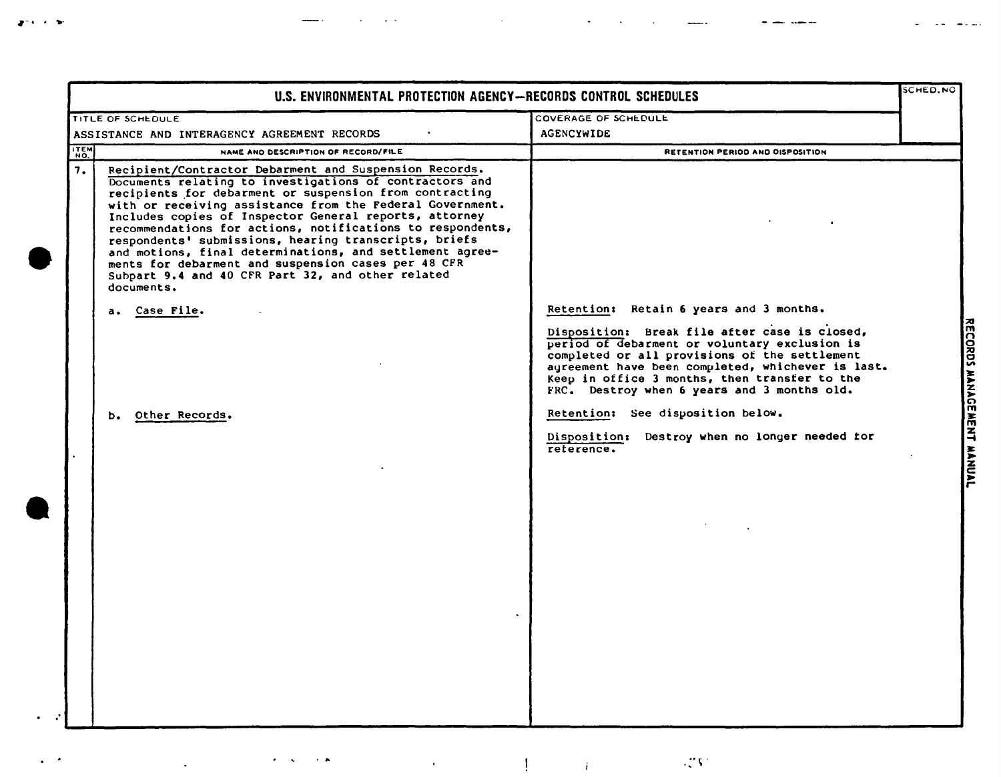|            | TITLE OF SCHEDULE                                                                                                                                                                                                                                                                                                                                                                                                                                                                                                                                                                                                | COVERAGE OF SCHEDULE                                                                                                                                                                                                                                                                                                                            |  |
|------------|------------------------------------------------------------------------------------------------------------------------------------------------------------------------------------------------------------------------------------------------------------------------------------------------------------------------------------------------------------------------------------------------------------------------------------------------------------------------------------------------------------------------------------------------------------------------------------------------------------------|-------------------------------------------------------------------------------------------------------------------------------------------------------------------------------------------------------------------------------------------------------------------------------------------------------------------------------------------------|--|
|            | ASSISTANCE AND INTERAGENCY AGREEMENT RECORDS                                                                                                                                                                                                                                                                                                                                                                                                                                                                                                                                                                     | <b>AGENCYWIDE</b>                                                                                                                                                                                                                                                                                                                               |  |
| <b>TEM</b> | NAME AND DESCRIPTION OF RECORD/FILE                                                                                                                                                                                                                                                                                                                                                                                                                                                                                                                                                                              | RETENTION PERIOD AND OISPOSITION                                                                                                                                                                                                                                                                                                                |  |
| 7.         | Recipient/Contractor Debarment and Suspension Records.<br>Documents relating to investigations of contractors and<br>recipients for debarment or suspension from contracting<br>with or receiving assistance from the Federal Government.<br>Includes copies of Inspector General reports, attorney<br>recommendations for actions, notifications to respondents,<br>respondents' submissions, hearing transcripts, briefs<br>and motions, final determinations, and settlement agree-<br>ments for debarment and suspension cases per 48 CFR<br>Subpart 9.4 and 40 CFR Part 32, and other related<br>documents. |                                                                                                                                                                                                                                                                                                                                                 |  |
|            | a. Case File.                                                                                                                                                                                                                                                                                                                                                                                                                                                                                                                                                                                                    | Retention: Retain 6 years and 3 months.<br>Disposition: Break file after case is closed,<br>period of debarment or voluntary exclusion is<br>completed or all provisions of the settlement<br>agreement have been completed, whichever is last.<br>Keep in office 3 months, then transfer to the<br>FRC. Destroy when 6 years and 3 months old. |  |
|            | b. Other Records.                                                                                                                                                                                                                                                                                                                                                                                                                                                                                                                                                                                                | Retention: See disposition below.<br>Disposition: Destroy when no longer needed for<br>reterence.                                                                                                                                                                                                                                               |  |
|            |                                                                                                                                                                                                                                                                                                                                                                                                                                                                                                                                                                                                                  |                                                                                                                                                                                                                                                                                                                                                 |  |

 $\mathcal{A}^{\pm}$ 

 $\mathcal{L}^{\text{max}}$  and  $\mathcal{L}^{\text{max}}$ 

 $\sim$   $\sim$ 

المنافر والمحارب المستد

NWML

 $\epsilon$  ,  $\epsilon$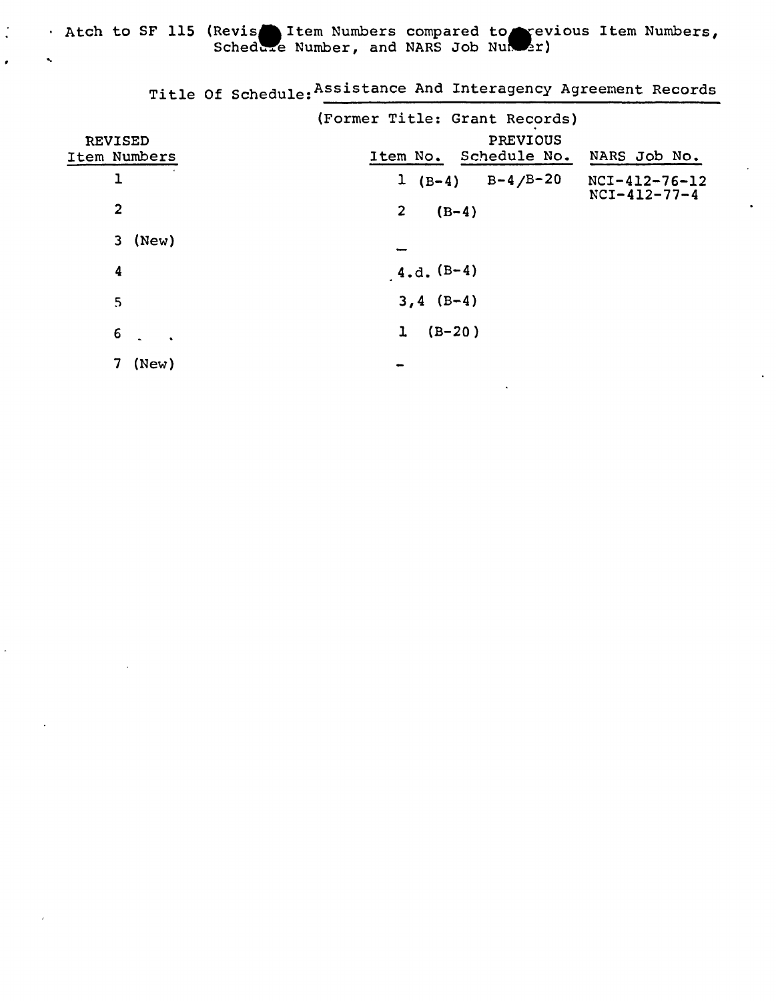Atch to SF 115 (Revis 1tem Numbers compared to revious Item Numbers, Scheddre Number, and NARS Job Nunder.

 $\cdot$ 

Title Of Schedule: Assistance And Interagency Agreement Records

REVISED Item Numbers 1 2 3 (New) 4 5 6 7 (New) (Former Title: Grant Records) PREVIOUS Item No. Schedule No. NARS Job No.  $1 (B-4)$ 2  $(B-4)$ B-4/B-20 NCI-4l2-76-l2 NCI-4l2-77-4  $4.d. (B-4)$  $3, 4$  (B-4)  $1 (B-20)$